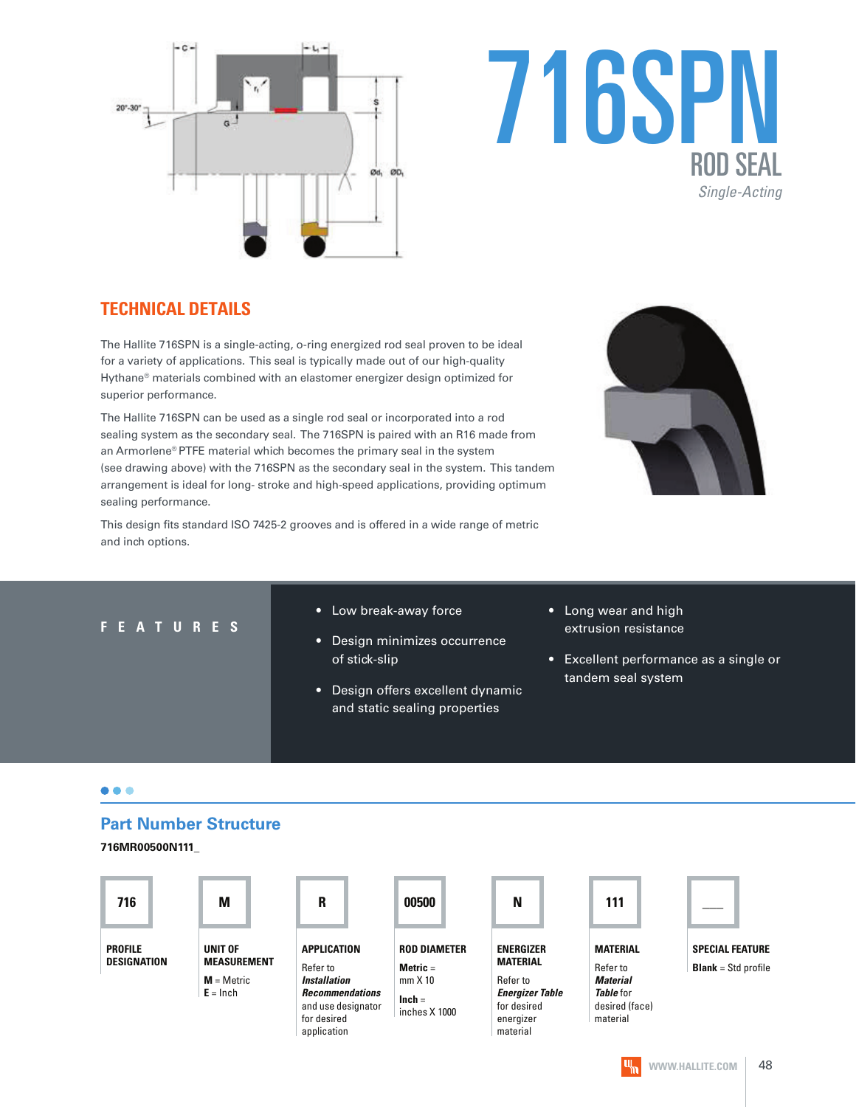

# 716SPN ROD SEAL Single-Acting

# **TECHNICAL DETAILS**

The Hallite 716SPN is a single-acting, o-ring energized rod seal proven to be ideal for a variety of applications. This seal is typically made out of our high-quality Hythane® materials combined with an elastomer energizer design optimized for superior performance.

The Hallite 716SPN can be used as a single rod seal or incorporated into a rod sealing system as the secondary seal. The 716SPN is paired with an R16 made from an Armorlene® PTFE material which becomes the primary seal in the system (see drawing above) with the 716SPN as the secondary seal in the system. This tandem arrangement is ideal for long- stroke and high-speed applications, providing optimum sealing performance.

This design fits standard ISO 7425-2 grooves and is offered in a wide range of metric and inch options.



#### **F E A T U R E S**

- Low break-away force
- Design minimizes occurrence of stick-slip
- Design offers excellent dynamic and static sealing properties
- Long wear and high extrusion resistance
- Excellent performance as a single or tandem seal system

#### $\bullet\bullet\bullet$

#### **Part Number Structure**

**716MR00500N111\_**

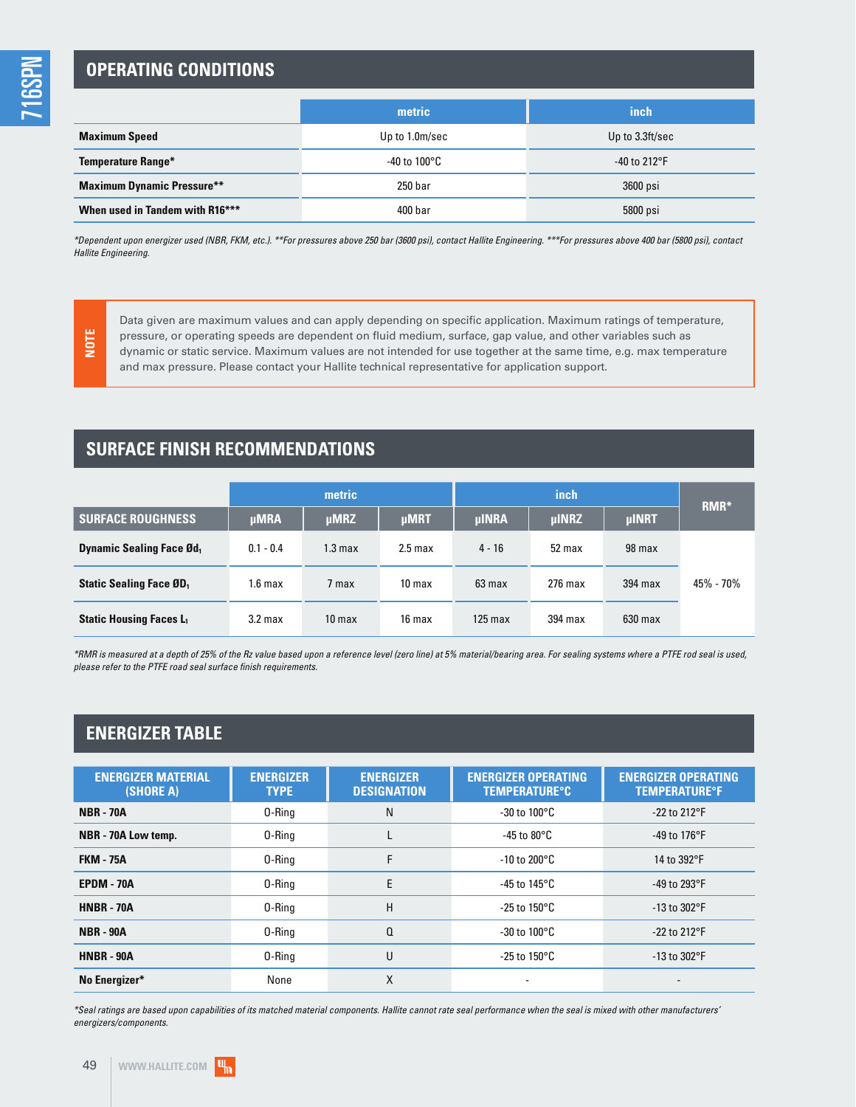716SPN

## **OPERATING CONDITIONS**

|                                   | metric                  | inch            |
|-----------------------------------|-------------------------|-----------------|
| <b>Maximum Speed</b>              | Up to 1.0m/sec          | Up to 3.3ft/sec |
| <b>Temperature Range*</b>         | -40 to 100 $^{\circ}$ C | $-40$ to 212°F  |
| <b>Maximum Dynamic Pressure**</b> | 250 bar                 | 3600 psi        |
| When used in Tandem with R16***   | 400 bar                 | 5800 psi        |

\*Dependent upon energizer used (NBR, FKM, etc.). \*\*For pressures above 250 bar (3600 psi), contact Hallite Engineering. \*\*\*For pressures above 400 bar (5800 psi), contact Hallite Engineering.

**NOTE**

Data given are maximum values and can apply depending on specific application. Maximum ratings of temperature, pressure, or operating speeds are dependent on fluid medium, surface, gap value, and other variables such as dynamic or static service. Maximum values are not intended for use together at the same time, e.g. max temperature and max pressure. Please contact your Hallite technical representative for application support.

## **SURFACE FINISH RECOMMENDATIONS**

|                                             |                    | metric                     |                   |                              | RMR*    |              |           |  |
|---------------------------------------------|--------------------|----------------------------|-------------------|------------------------------|---------|--------------|-----------|--|
| <b>SURFACE ROUGHNESS</b>                    | <b>µMRA</b>        | <b>µMRZ</b><br><b>µMRT</b> |                   | <b>ulNRZ</b><br><b>µINRA</b> |         | <b>µINRT</b> |           |  |
| <b>Dynamic Sealing Face Ød</b> <sub>1</sub> | $0.1 - 0.4$        | 1.3 <sub>max</sub>         | $2.5$ max         | $4 - 16$                     | 52 max  | 98 max       |           |  |
| <b>Static Sealing Face ØD</b> <sub>1</sub>  | 1.6 <sub>max</sub> | 7 max                      | 10 <sub>max</sub> | 63 max                       | 276 max | 394 max      | 45% - 70% |  |
| <b>Static Housing Faces L1</b>              | 3.2 <sub>max</sub> | 10 <sub>max</sub>          | 16 max            | $125$ max                    | 394 max | $630$ max    |           |  |

\*RMR is measured at a depth of 25% of the Rz value based upon a reference level (zero line) at 5% material/bearing area. For sealing systems where a PTFE rod seal is used, please refer to the PTFE road seal surface finish requirements.

## **ENERGIZER TABLE**

| <b>ENERGIZER MATERIAL</b><br>(SHORE A) | <b>ENERGIZER</b><br><b>TYPE</b> | <b>ENERGIZER</b><br><b>DESIGNATION</b> | <b>ENERGIZER OPERATING</b><br><b>TEMPERATURE°C</b> | <b>ENERGIZER OPERATING</b><br><b>TEMPERATURE<sup>o</sup>F</b> |  |
|----------------------------------------|---------------------------------|----------------------------------------|----------------------------------------------------|---------------------------------------------------------------|--|
| <b>NBR - 70A</b>                       | 0-Ring                          | N                                      | $-30$ to $100^{\circ}$ C                           | $-22$ to $212^{\circ}F$                                       |  |
| NBR - 70A Low temp.                    | 0-Ring                          | L                                      | -45 to 80 $^{\circ}$ C                             | -49 to 176 $\degree$ F                                        |  |
| <b>FKM - 75A</b>                       | 0-Ring                          | F                                      | $-10$ to 200°C                                     | 14 to 392°F                                                   |  |
| <b>EPDM - 70A</b>                      | 0-Ring                          | E                                      | -45 to 145°C                                       | -49 to 293°F                                                  |  |
| <b>HNBR - 70A</b>                      | H<br>0-Ring                     |                                        | $-25$ to 150°C                                     | $-13$ to $302$ °F                                             |  |
| <b>NBR - 90A</b>                       | 0-Ring                          | Q                                      | $-30$ to $100^{\circ}$ C                           | $-22$ to $212^{\circ}F$                                       |  |
| <b>HNBR - 90A</b>                      | 0-Ring                          | U                                      | $-25$ to 150°C                                     | $-13$ to $302$ °F                                             |  |
| No Energizer*                          | None                            | X                                      | -                                                  |                                                               |  |

\*Seal ratings are based upon capabilities of its matched material components. Hallite cannot rate seal performance when the seal is mixed with other manufacturers' energizers/components.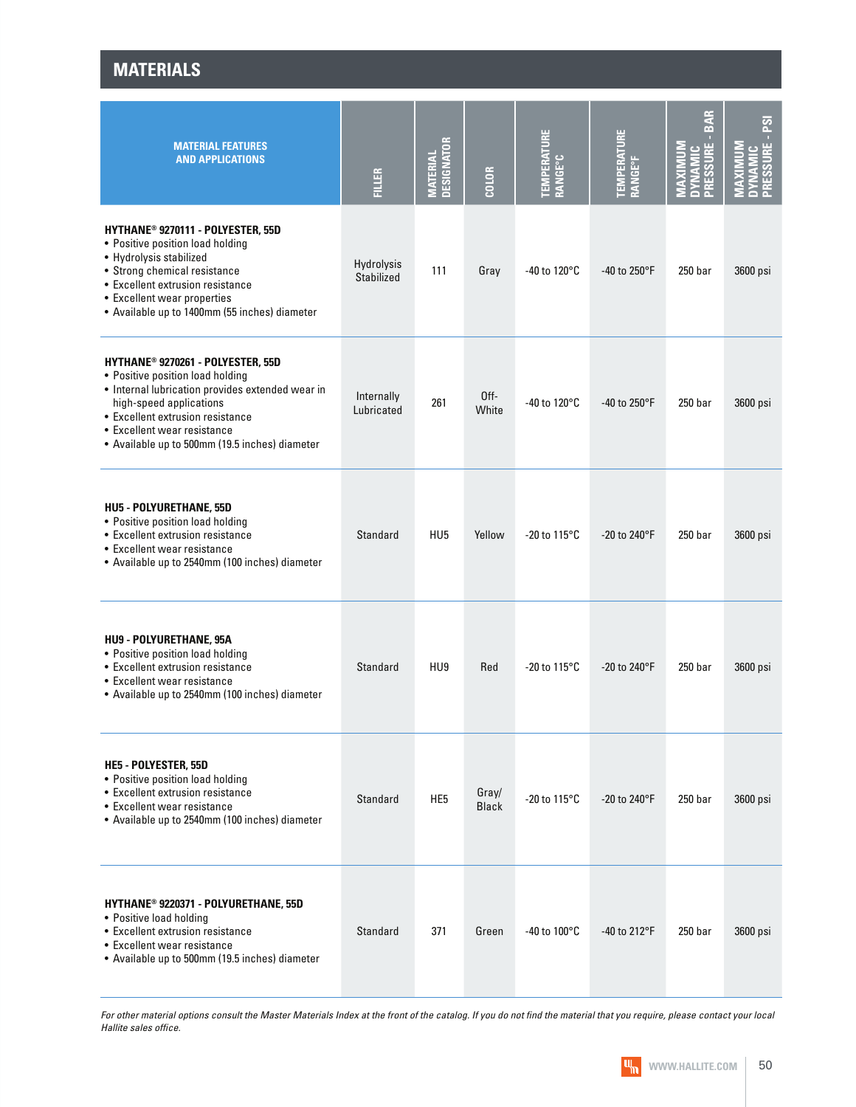**MATERIALS**

| <b>MATERIAL FEATURES</b><br><b>AND APPLICATIONS</b>                                                                                                                                                                                                                       | <b>FILLER</b>                   | <b>DESIGNATOR</b><br><b>MATERIAL</b> | COLOR                    | <b>TEMPERATURI</b><br><b>RANGE°C</b> | <b>TEMPERATURE<br/>RANGE°F</b> | ₹<br>മ്<br>$\overline{\mathbf{r}}$<br><b>LSSSU</b><br>G. | PRESSURE - PSI<br>NAM |
|---------------------------------------------------------------------------------------------------------------------------------------------------------------------------------------------------------------------------------------------------------------------------|---------------------------------|--------------------------------------|--------------------------|--------------------------------------|--------------------------------|----------------------------------------------------------|-----------------------|
| HYTHANE <sup>®</sup> 9270111 - POLYESTER, 55D<br>• Positive position load holding<br>• Hydrolysis stabilized<br>• Strong chemical resistance<br>• Excellent extrusion resistance<br>• Excellent wear properties<br>• Available up to 1400mm (55 inches) diameter          | Hydrolysis<br><b>Stabilized</b> | 111                                  | Gray                     | -40 to 120 $\mathrm{^{\circ}C}$      | -40 to 250°F                   | 250 <sub>bar</sub>                                       | 3600 psi              |
| HYTHANE® 9270261 - POLYESTER, 55D<br>• Positive position load holding<br>• Internal lubrication provides extended wear in<br>high-speed applications<br>• Excellent extrusion resistance<br>• Excellent wear resistance<br>• Available up to 500mm (19.5 inches) diameter | Internally<br>Lubricated        | 261                                  | 0 <sup>ff</sup><br>White | -40 to 120 $\mathrm{^{\circ}C}$      | -40 to 250°F                   | 250 bar                                                  | 3600 psi              |
| <b>HU5 - POLYURETHANE, 55D</b><br>• Positive position load holding<br>• Excellent extrusion resistance<br>• Excellent wear resistance<br>• Available up to 2540mm (100 inches) diameter                                                                                   | <b>Standard</b>                 | HU <sub>5</sub>                      | Yellow                   | $-20$ to 115°C                       | $-20$ to 240°F                 | 250 <sub>bar</sub>                                       | 3600 psi              |
| HU9 - POLYURETHANE, 95A<br>• Positive position load holding<br>• Excellent extrusion resistance<br>• Excellent wear resistance<br>• Available up to 2540mm (100 inches) diameter                                                                                          | <b>Standard</b>                 | HU <sub>9</sub>                      | Red                      | $-20$ to $115^{\circ}$ C             | $-20$ to 240°F                 | 250 <sub>bar</sub>                                       | 3600 psi              |
| HE5 - POLYESTER, 55D<br>• Positive position load holding<br>• Excellent extrusion resistance<br>• Excellent wear resistance<br>• Available up to 2540mm (100 inches) diameter                                                                                             | <b>Standard</b>                 | HE <sub>5</sub>                      | Gray/<br><b>Black</b>    | $-20$ to 115°C                       | $-20$ to 240 $\degree$ F       | 250 <sub>bar</sub>                                       | 3600 psi              |
| HYTHANE® 9220371 - POLYURETHANE, 55D<br>• Positive load holding<br>• Excellent extrusion resistance<br>• Excellent wear resistance<br>• Available up to 500mm (19.5 inches) diameter                                                                                      | <b>Standard</b>                 | 371                                  | Green                    | -40 to $100^{\circ}$ C               | -40 to 212 $\degree$ F         | 250 <sub>bar</sub>                                       | 3600 psi              |

For other material options consult the Master Materials Index at the front of the catalog. If you do not find the material that you require, please contact your local Hallite sales office.